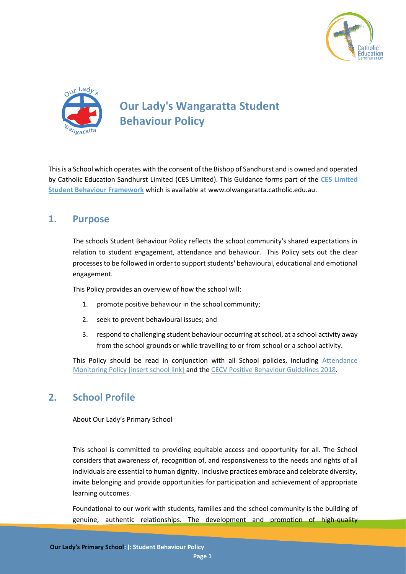



# **Our Lady's Wangaratta Student Behaviour Policy**

This is a School which operates with the consent of the Bishop of Sandhurst and is owned and operated by Catholic Education Sandhurst Limited (CES Limited). This Guidance forms part of the **CES Limited Student Behaviour Framework** which is available at www.olwangaratta.catholic.edu.au.

## **1. Purpose**

The schools Student Behaviour Policy reflects the school community's shared expectations in relation to student engagement, attendance and behaviour. This Policy sets out the clear processes to be followed in order to support students' behavioural, educational and emotional engagement.

This Policy provides an overview of how the school will:

- 1. promote positive behaviour in the school community;
- 2. seek to prevent behavioural issues; and
- 3. respond to challenging student behaviour occurring at school, at a school activity away from the school grounds or while travelling to or from school or a school activity.

This Policy should be read in conjunction with all School policies, including Attendance Monitoring Policy [insert school link] and th[e CECV Positive Behaviour Guidelines 2018.](https://www.cecv.catholic.edu.au/getmedia/bc1d235d-9a98-4bb4-b3ac-84b50fa7c639/CECV-Positive-Behaviour-Guidelines_FINAL2.aspx?ext=.pdf)

## **2. School Profile**

About Our Lady's Primary School

This school is committed to providing equitable access and opportunity for all. The School considers that awareness of, recognition of, and responsiveness to the needs and rights of all individuals are essential to human dignity. Inclusive practices embrace and celebrate diversity, invite belonging and provide opportunities for participation and achievement of appropriate learning outcomes.

Foundational to our work with students, families and the school community is the building of genuine, authentic relationships. The development and promotion of high-quality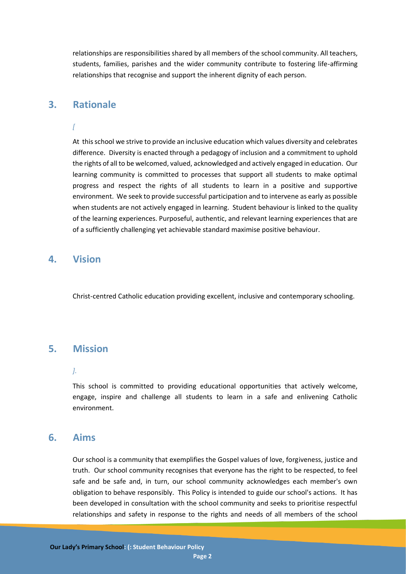relationships are responsibilities shared by all members of the school community. All teachers, students, families, parishes and the wider community contribute to fostering life-affirming relationships that recognise and support the inherent dignity of each person.

## **3. Rationale**

### *[*

At this school we strive to provide an inclusive education which values diversity and celebrates difference. Diversity is enacted through a pedagogy of inclusion and a commitment to uphold the rights of all to be welcomed, valued, acknowledged and actively engaged in education. Our learning community is committed to processes that support all students to make optimal progress and respect the rights of all students to learn in a positive and supportive environment. We seek to provide successful participation and to intervene as early as possible when students are not actively engaged in learning. Student behaviour is linked to the quality of the learning experiences. Purposeful, authentic, and relevant learning experiences that are of a sufficiently challenging yet achievable standard maximise positive behaviour.

### **4. Vision**

Christ-centred Catholic education providing excellent, inclusive and contemporary schooling.

## **5. Mission**

#### *].*

This school is committed to providing educational opportunities that actively welcome, engage, inspire and challenge all students to learn in a safe and enlivening Catholic environment.

## **6. Aims**

Our school is a community that exemplifies the Gospel values of love, forgiveness, justice and truth. Our school community recognises that everyone has the right to be respected, to feel safe and be safe and, in turn, our school community acknowledges each member's own obligation to behave responsibly. This Policy is intended to guide our school's actions. It has been developed in consultation with the school community and seeks to prioritise respectful relationships and safety in response to the rights and needs of all members of the school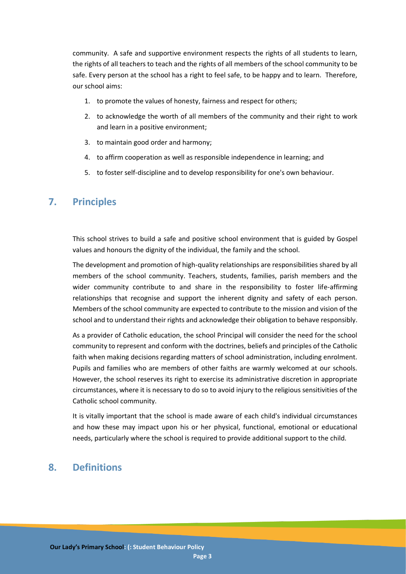community. A safe and supportive environment respects the rights of all students to learn, the rights of all teachers to teach and the rights of all members of the school community to be safe. Every person at the school has a right to feel safe, to be happy and to learn. Therefore, our school aims:

- 1. to promote the values of honesty, fairness and respect for others;
- 2. to acknowledge the worth of all members of the community and their right to work and learn in a positive environment;
- 3. to maintain good order and harmony;
- 4. to affirm cooperation as well as responsible independence in learning; and
- 5. to foster self-discipline and to develop responsibility for one's own behaviour.

## **7. Principles**

This school strives to build a safe and positive school environment that is guided by Gospel values and honours the dignity of the individual, the family and the school.

The development and promotion of high-quality relationships are responsibilities shared by all members of the school community. Teachers, students, families, parish members and the wider community contribute to and share in the responsibility to foster life-affirming relationships that recognise and support the inherent dignity and safety of each person. Members of the school community are expected to contribute to the mission and vision of the school and to understand their rights and acknowledge their obligation to behave responsibly.

As a provider of Catholic education, the school Principal will consider the need for the school community to represent and conform with the doctrines, beliefs and principles of the Catholic faith when making decisions regarding matters of school administration, including enrolment. Pupils and families who are members of other faiths are warmly welcomed at our schools. However, the school reserves its right to exercise its administrative discretion in appropriate circumstances, where it is necessary to do so to avoid injury to the religious sensitivities of the Catholic school community.

It is vitally important that the school is made aware of each child's individual circumstances and how these may impact upon his or her physical, functional, emotional or educational needs, particularly where the school is required to provide additional support to the child.

## **8. Definitions**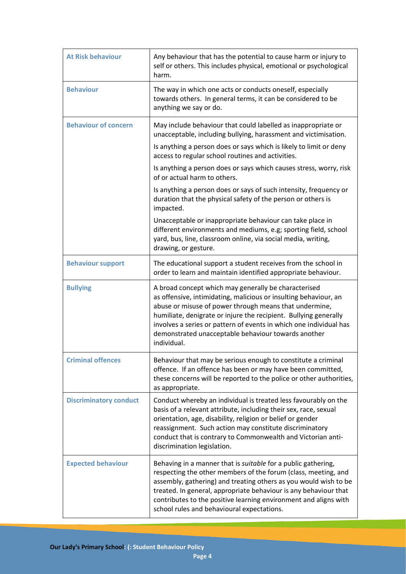| <b>At Risk behaviour</b>      | Any behaviour that has the potential to cause harm or injury to<br>self or others. This includes physical, emotional or psychological<br>harm.                                                                                                                                                                                                                                                     |
|-------------------------------|----------------------------------------------------------------------------------------------------------------------------------------------------------------------------------------------------------------------------------------------------------------------------------------------------------------------------------------------------------------------------------------------------|
| <b>Behaviour</b>              | The way in which one acts or conducts oneself, especially<br>towards others. In general terms, it can be considered to be<br>anything we say or do.                                                                                                                                                                                                                                                |
| <b>Behaviour of concern</b>   | May include behaviour that could labelled as inappropriate or<br>unacceptable, including bullying, harassment and victimisation.                                                                                                                                                                                                                                                                   |
|                               | Is anything a person does or says which is likely to limit or deny<br>access to regular school routines and activities.                                                                                                                                                                                                                                                                            |
|                               | Is anything a person does or says which causes stress, worry, risk<br>of or actual harm to others.                                                                                                                                                                                                                                                                                                 |
|                               | Is anything a person does or says of such intensity, frequency or<br>duration that the physical safety of the person or others is<br>impacted.                                                                                                                                                                                                                                                     |
|                               | Unacceptable or inappropriate behaviour can take place in<br>different environments and mediums, e.g; sporting field, school<br>yard, bus, line, classroom online, via social media, writing,<br>drawing, or gesture.                                                                                                                                                                              |
| <b>Behaviour support</b>      | The educational support a student receives from the school in<br>order to learn and maintain identified appropriate behaviour.                                                                                                                                                                                                                                                                     |
| <b>Bullying</b>               | A broad concept which may generally be characterised<br>as offensive, intimidating, malicious or insulting behaviour, an<br>abuse or misuse of power through means that undermine,<br>humiliate, denigrate or injure the recipient. Bullying generally<br>involves a series or pattern of events in which one individual has<br>demonstrated unacceptable behaviour towards another<br>individual. |
| <b>Criminal offences</b>      | Behaviour that may be serious enough to constitute a criminal<br>offence. If an offence has been or may have been committed,<br>these concerns will be reported to the police or other authorities,<br>as appropriate.                                                                                                                                                                             |
| <b>Discriminatory conduct</b> | Conduct whereby an individual is treated less favourably on the<br>basis of a relevant attribute, including their sex, race, sexual<br>orientation, age, disability, religion or belief or gender<br>reassignment. Such action may constitute discriminatory<br>conduct that is contrary to Commonwealth and Victorian anti-<br>discrimination legislation.                                        |
| <b>Expected behaviour</b>     | Behaving in a manner that is suitable for a public gathering,<br>respecting the other members of the forum (class, meeting, and<br>assembly, gathering) and treating others as you would wish to be<br>treated. In general, appropriate behaviour is any behaviour that<br>contributes to the positive learning environment and aligns with<br>school rules and behavioural expectations.          |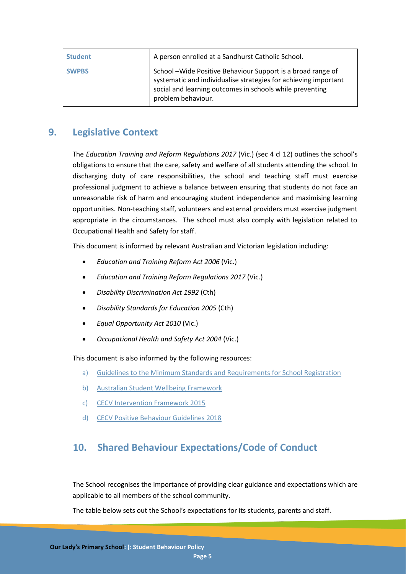| <b>Student</b> | A person enrolled at a Sandhurst Catholic School.                                                                                                                                                                 |
|----------------|-------------------------------------------------------------------------------------------------------------------------------------------------------------------------------------------------------------------|
| <b>SWPBS</b>   | School - Wide Positive Behaviour Support is a broad range of<br>systematic and individualise strategies for achieving important<br>social and learning outcomes in schools while preventing<br>problem behaviour. |

## **9. Legislative Context**

The *Education Training and Reform Regulations 2017* (Vic.) (sec 4 cl 12) outlines the school's obligations to ensure that the care, safety and welfare of all students attending the school. In discharging duty of care responsibilities, the school and teaching staff must exercise professional judgment to achieve a balance between ensuring that students do not face an unreasonable risk of harm and encouraging student independence and maximising learning opportunities. Non-teaching staff, volunteers and external providers must exercise judgment appropriate in the circumstances. The school must also comply with legislation related to Occupational Health and Safety for staff.

This document is informed by relevant Australian and Victorian legislation including:

- *Education and Training Reform Act 2006* (Vic.)
- *Education and Training Reform Regulations 2017* (Vic.)
- *Disability Discrimination Act 1992* (Cth)
- *Disability Standards for Education 2005* (Cth)
- *Equal Opportunity Act 2010* (Vic.)
- *Occupational Health and Safety Act 2004* (Vic.)

This document is also informed by the following resources:

- a) [Guidelines to the Minimum Standards and Requirements for School Registration](https://www.vrqa.vic.gov.au/Documents/schoolstandards.docx)
- b) [Australian Student Wellbeing Framework](https://studentwellbeinghub.edu.au/educators/framework/)
- c) [CECV Intervention Framework 2015](http://www.cecv.catholic.edu.au/publications/CECV-Intervention-Framework.pdf)
- d) [CECV Positive Behaviour Guidelines 2018](https://www.cecv.catholic.edu.au/getmedia/bc1d235d-9a98-4bb4-b3ac-84b50fa7c639/CECV-Positive-Behaviour-Guidelines_FINAL2.aspx?ext=.pdf)

## **10. Shared Behaviour Expectations/Code of Conduct**

The School recognises the importance of providing clear guidance and expectations which are applicable to all members of the school community.

The table below sets out the School's expectations for its students, parents and staff.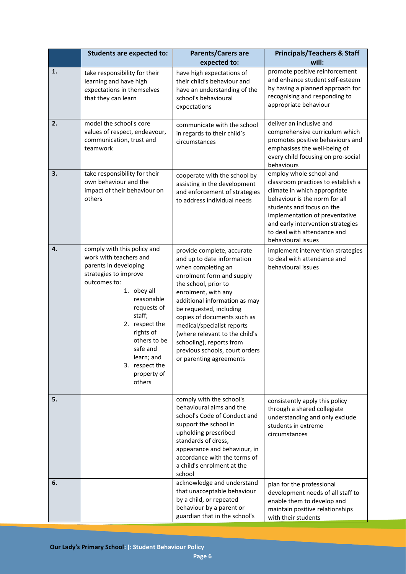|    | <b>Students are expected to:</b>                                                                                                                                                                                                                                                                  | <b>Parents/Carers are</b><br>expected to:                                                                                                                                                                                                                                                                                                                                                                      | <b>Principals/Teachers &amp; Staff</b><br>will:                                                                                                                                                                                                                                         |
|----|---------------------------------------------------------------------------------------------------------------------------------------------------------------------------------------------------------------------------------------------------------------------------------------------------|----------------------------------------------------------------------------------------------------------------------------------------------------------------------------------------------------------------------------------------------------------------------------------------------------------------------------------------------------------------------------------------------------------------|-----------------------------------------------------------------------------------------------------------------------------------------------------------------------------------------------------------------------------------------------------------------------------------------|
| 1. | take responsibility for their<br>learning and have high<br>expectations in themselves<br>that they can learn                                                                                                                                                                                      | have high expectations of<br>their child's behaviour and<br>have an understanding of the<br>school's behavioural<br>expectations                                                                                                                                                                                                                                                                               | promote positive reinforcement<br>and enhance student self-esteem<br>by having a planned approach for<br>recognising and responding to<br>appropriate behaviour                                                                                                                         |
| 2. | model the school's core<br>values of respect, endeavour,<br>communication, trust and<br>teamwork                                                                                                                                                                                                  | communicate with the school<br>in regards to their child's<br>circumstances                                                                                                                                                                                                                                                                                                                                    | deliver an inclusive and<br>comprehensive curriculum which<br>promotes positive behaviours and<br>emphasises the well-being of<br>every child focusing on pro-social<br>behaviours                                                                                                      |
| 3. | take responsibility for their<br>own behaviour and the<br>impact of their behaviour on<br>others                                                                                                                                                                                                  | cooperate with the school by<br>assisting in the development<br>and enforcement of strategies<br>to address individual needs                                                                                                                                                                                                                                                                                   | employ whole school and<br>classroom practices to establish a<br>climate in which appropriate<br>behaviour is the norm for all<br>students and focus on the<br>implementation of preventative<br>and early intervention strategies<br>to deal with attendance and<br>behavioural issues |
| 4. | comply with this policy and<br>work with teachers and<br>parents in developing<br>strategies to improve<br>outcomes to:<br>1. obey all<br>reasonable<br>requests of<br>staff;<br>2. respect the<br>rights of<br>others to be<br>safe and<br>learn; and<br>3. respect the<br>property of<br>others | provide complete, accurate<br>and up to date information<br>when completing an<br>enrolment form and supply<br>the school, prior to<br>enrolment, with any<br>additional information as may<br>be requested, including<br>copies of documents such as<br>medical/specialist reports<br>(where relevant to the child's<br>schooling), reports from<br>previous schools, court orders<br>or parenting agreements | implement intervention strategies<br>to deal with attendance and<br>behavioural issues                                                                                                                                                                                                  |
| 5. |                                                                                                                                                                                                                                                                                                   | comply with the school's<br>behavioural aims and the<br>school's Code of Conduct and<br>support the school in<br>upholding prescribed<br>standards of dress,<br>appearance and behaviour, in<br>accordance with the terms of<br>a child's enrolment at the<br>school                                                                                                                                           | consistently apply this policy<br>through a shared collegiate<br>understanding and only exclude<br>students in extreme<br>circumstances                                                                                                                                                 |
| 6. |                                                                                                                                                                                                                                                                                                   | acknowledge and understand<br>that unacceptable behaviour<br>by a child, or repeated<br>behaviour by a parent or<br>guardian that in the school's                                                                                                                                                                                                                                                              | plan for the professional<br>development needs of all staff to<br>enable them to develop and<br>maintain positive relationships<br>with their students                                                                                                                                  |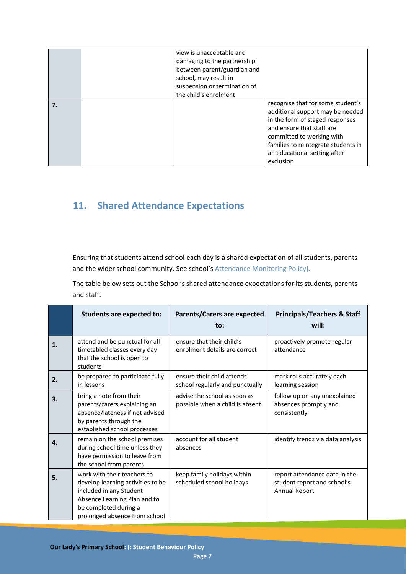|  | view is unacceptable and<br>damaging to the partnership<br>between parent/guardian and<br>school, may result in<br>suspension or termination of<br>the child's enrolment |                                                                                                                                                                                                                                                        |
|--|--------------------------------------------------------------------------------------------------------------------------------------------------------------------------|--------------------------------------------------------------------------------------------------------------------------------------------------------------------------------------------------------------------------------------------------------|
|  |                                                                                                                                                                          | recognise that for some student's<br>additional support may be needed<br>in the form of staged responses<br>and ensure that staff are<br>committed to working with<br>families to reintegrate students in<br>an educational setting after<br>exclusion |

## **11. Shared Attendance Expectations**

Ensuring that students attend school each day is a shared expectation of all students, parents and the wider school community. See school's **Attendance Monitoring Policy**].

The table below sets out the School's shared attendance expectations for its students, parents and staff.

|    | <b>Students are expected to:</b>                                                                                                                                                      | <b>Parents/Carers are expected</b><br>to:                       | <b>Principals/Teachers &amp; Staff</b><br>will:                               |
|----|---------------------------------------------------------------------------------------------------------------------------------------------------------------------------------------|-----------------------------------------------------------------|-------------------------------------------------------------------------------|
| 1. | attend and be punctual for all<br>timetabled classes every day<br>that the school is open to<br>students                                                                              | ensure that their child's<br>enrolment details are correct      | proactively promote regular<br>attendance                                     |
| 2. | be prepared to participate fully<br>in lessons                                                                                                                                        | ensure their child attends<br>school regularly and punctually   | mark rolls accurately each<br>learning session                                |
| 3. | bring a note from their<br>parents/carers explaining an<br>absence/lateness if not advised<br>by parents through the<br>established school processes                                  | advise the school as soon as<br>possible when a child is absent | follow up on any unexplained<br>absences promptly and<br>consistently         |
| 4. | remain on the school premises<br>during school time unless they<br>have permission to leave from<br>the school from parents                                                           | account for all student<br>absences                             | identify trends via data analysis                                             |
| 5. | work with their teachers to<br>develop learning activities to be<br>included in any Student<br>Absence Learning Plan and to<br>be completed during a<br>prolonged absence from school | keep family holidays within<br>scheduled school holidays        | report attendance data in the<br>student report and school's<br>Annual Report |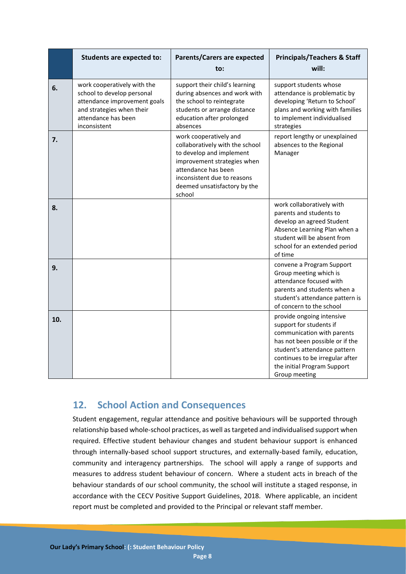|     | <b>Students are expected to:</b>                                                                                                                              | <b>Parents/Carers are expected</b><br>to:                                                                                                                                                                            | <b>Principals/Teachers &amp; Staff</b><br>will:                                                                                                                                                                                          |
|-----|---------------------------------------------------------------------------------------------------------------------------------------------------------------|----------------------------------------------------------------------------------------------------------------------------------------------------------------------------------------------------------------------|------------------------------------------------------------------------------------------------------------------------------------------------------------------------------------------------------------------------------------------|
| 6.  | work cooperatively with the<br>school to develop personal<br>attendance improvement goals<br>and strategies when their<br>attendance has been<br>inconsistent | support their child's learning<br>during absences and work with<br>the school to reintegrate<br>students or arrange distance<br>education after prolonged<br>absences                                                | support students whose<br>attendance is problematic by<br>developing 'Return to School'<br>plans and working with families<br>to implement individualised<br>strategies                                                                  |
| 7.  |                                                                                                                                                               | work cooperatively and<br>collaboratively with the school<br>to develop and implement<br>improvement strategies when<br>attendance has been<br>inconsistent due to reasons<br>deemed unsatisfactory by the<br>school | report lengthy or unexplained<br>absences to the Regional<br>Manager                                                                                                                                                                     |
| 8.  |                                                                                                                                                               |                                                                                                                                                                                                                      | work collaboratively with<br>parents and students to<br>develop an agreed Student<br>Absence Learning Plan when a<br>student will be absent from<br>school for an extended period<br>of time                                             |
| 9.  |                                                                                                                                                               |                                                                                                                                                                                                                      | convene a Program Support<br>Group meeting which is<br>attendance focused with<br>parents and students when a<br>student's attendance pattern is<br>of concern to the school                                                             |
| 10. |                                                                                                                                                               |                                                                                                                                                                                                                      | provide ongoing intensive<br>support for students if<br>communication with parents<br>has not been possible or if the<br>student's attendance pattern<br>continues to be irregular after<br>the initial Program Support<br>Group meeting |

## **12. School Action and Consequences**

Student engagement, regular attendance and positive behaviours will be supported through relationship based whole-school practices, as well as targeted and individualised support when required. Effective student behaviour changes and student behaviour support is enhanced through internally-based school support structures, and externally-based family, education, community and interagency partnerships. The school will apply a range of supports and measures to address student behaviour of concern. Where a student acts in breach of the behaviour standards of our school community, the school will institute a staged response, in accordance with the CECV Positive Support Guidelines, 2018. Where applicable, an incident report must be completed and provided to the Principal or relevant staff member.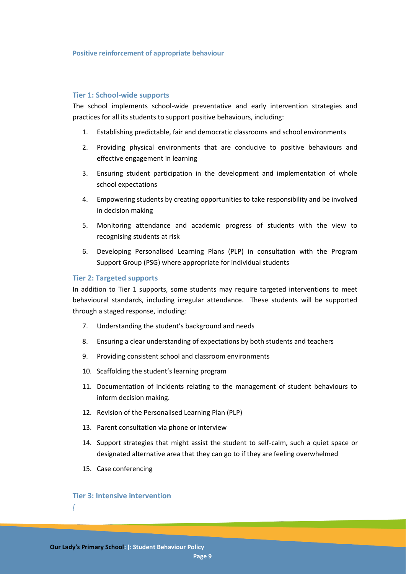#### **Positive reinforcement of appropriate behaviour**

#### **Tier 1: School-wide supports**

The school implements school-wide preventative and early intervention strategies and practices for all its students to support positive behaviours, including:

- 1. Establishing predictable, fair and democratic classrooms and school environments
- 2. Providing physical environments that are conducive to positive behaviours and effective engagement in learning
- 3. Ensuring student participation in the development and implementation of whole school expectations
- 4. Empowering students by creating opportunities to take responsibility and be involved in decision making
- 5. Monitoring attendance and academic progress of students with the view to recognising students at risk
- 6. Developing Personalised Learning Plans (PLP) in consultation with the Program Support Group (PSG) where appropriate for individual students

#### **Tier 2: Targeted supports**

In addition to Tier 1 supports, some students may require targeted interventions to meet behavioural standards, including irregular attendance. These students will be supported through a staged response, including:

- 7. Understanding the student's background and needs
- 8. Ensuring a clear understanding of expectations by both students and teachers
- 9. Providing consistent school and classroom environments
- 10. Scaffolding the student's learning program
- 11. Documentation of incidents relating to the management of student behaviours to inform decision making.
- 12. Revision of the Personalised Learning Plan (PLP)
- 13. Parent consultation via phone or interview
- 14. Support strategies that might assist the student to self-calm, such a quiet space or designated alternative area that they can go to if they are feeling overwhelmed
- 15. Case conferencing

#### **Tier 3: Intensive intervention**

*[*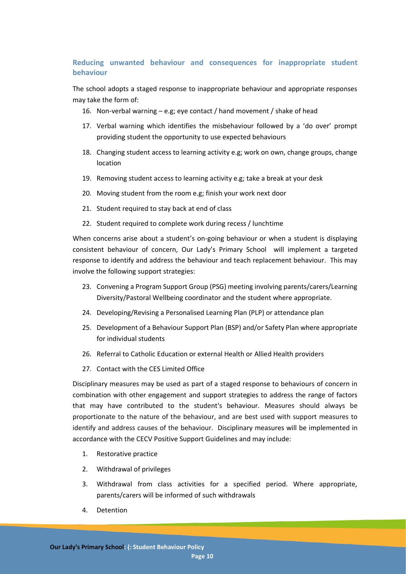### **Reducing unwanted behaviour and consequences for inappropriate student behaviour**

The school adopts a staged response to inappropriate behaviour and appropriate responses may take the form of:

- 16. Non-verbal warning e.g; eye contact / hand movement / shake of head
- 17. Verbal warning which identifies the misbehaviour followed by a 'do over' prompt providing student the opportunity to use expected behaviours
- 18. Changing student access to learning activity e.g; work on own, change groups, change location
- 19. Removing student access to learning activity e.g; take a break at your desk
- 20. Moving student from the room e.g; finish your work next door
- 21. Student required to stay back at end of class
- 22. Student required to complete work during recess / lunchtime

When concerns arise about a student's on-going behaviour or when a student is displaying consistent behaviour of concern, Our Lady's Primary School will implement a targeted response to identify and address the behaviour and teach replacement behaviour. This may involve the following support strategies:

- 23. Convening a Program Support Group (PSG) meeting involving parents/carers/Learning Diversity/Pastoral Wellbeing coordinator and the student where appropriate.
- 24. Developing/Revising a Personalised Learning Plan (PLP) or attendance plan
- 25. Development of a Behaviour Support Plan (BSP) and/or Safety Plan where appropriate for individual students
- 26. Referral to Catholic Education or external Health or Allied Health providers
- 27. Contact with the CES Limited Office

Disciplinary measures may be used as part of a staged response to behaviours of concern in combination with other engagement and support strategies to address the range of factors that may have contributed to the student's behaviour. Measures should always be proportionate to the nature of the behaviour, and are best used with support measures to identify and address causes of the behaviour. Disciplinary measures will be implemented in accordance with the CECV Positive Support Guidelines and may include:

- 1. Restorative practice
- 2. Withdrawal of privileges
- 3. Withdrawal from class activities for a specified period. Where appropriate, parents/carers will be informed of such withdrawals
- 4. Detention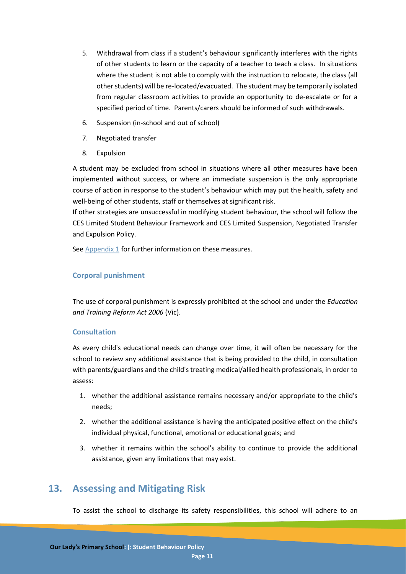- 5. Withdrawal from class if a student's behaviour significantly interferes with the rights of other students to learn or the capacity of a teacher to teach a class. In situations where the student is not able to comply with the instruction to relocate, the class (all other students) will be re-located/evacuated. The student may be temporarily isolated from regular classroom activities to provide an opportunity to de-escalate or for a specified period of time. Parents/carers should be informed of such withdrawals.
- 6. Suspension (in-school and out of school)
- 7. Negotiated transfer
- 8. Expulsion

A student may be excluded from school in situations where all other measures have been implemented without success, or where an immediate suspension is the only appropriate course of action in response to the student's behaviour which may put the health, safety and well-being of other students, staff or themselves at significant risk.

If other strategies are unsuccessful in modifying student behaviour, the school will follow the CES Limited Student Behaviour Framework and CES Limited Suspension, Negotiated Transfer and Expulsion Policy.

See [Appendix 1](#page-11-0) for further information on these measures.

#### **Corporal punishment**

The use of corporal punishment is expressly prohibited at the school and under the *Education and Training Reform Act 2006* (Vic).

### **Consultation**

As every child's educational needs can change over time, it will often be necessary for the school to review any additional assistance that is being provided to the child, in consultation with parents/guardians and the child's treating medical/allied health professionals, in order to assess:

- 1. whether the additional assistance remains necessary and/or appropriate to the child's needs;
- 2. whether the additional assistance is having the anticipated positive effect on the child's individual physical, functional, emotional or educational goals; and
- 3. whether it remains within the school's ability to continue to provide the additional assistance, given any limitations that may exist.

## **13. Assessing and Mitigating Risk**

To assist the school to discharge its safety responsibilities, this school will adhere to an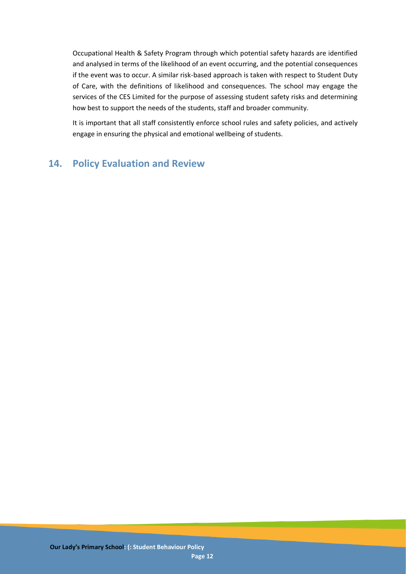Occupational Health & Safety Program through which potential safety hazards are identified and analysed in terms of the likelihood of an event occurring, and the potential consequences if the event was to occur. A similar risk-based approach is taken with respect to Student Duty of Care, with the definitions of likelihood and consequences. The school may engage the services of the CES Limited for the purpose of assessing student safety risks and determining how best to support the needs of the students, staff and broader community.

It is important that all staff consistently enforce school rules and safety policies, and actively engage in ensuring the physical and emotional wellbeing of students.

## <span id="page-11-0"></span>**14. Policy Evaluation and Review**